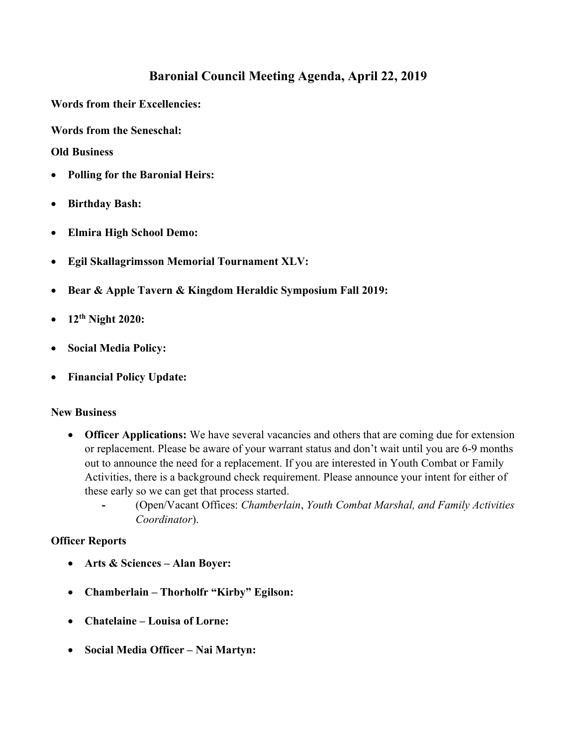## Baronial Council Meeting Agenda, April 22, 2019

Words from their Excellencies:

Words from the Seneschal:

Old Business

- Polling for the Baronial Heirs:
- Birthday Bash:
- Elmira High School Demo:
- Egil Skallagrimsson Memorial Tournament XLV:
- Bear & Apple Tavern & Kingdom Heraldic Symposium Fall 2019:
- 12th Night 2020:
- Social Media Policy:
- Financial Policy Update:

## New Business

- Officer Applications: We have several vacancies and others that are coming due for extension or replacement. Please be aware of your warrant status and don't wait until you are 6-9 months out to announce the need for a replacement. If you are interested in Youth Combat or Family Activities, there is a background check requirement. Please announce your intent for either of these early so we can get that process started.
	- (Open/Vacant Offices: Chamberlain, Youth Combat Marshal, and Family Activities Coordinator).

## Officer Reports

- Arts & Sciences Alan Boyer:
- Chamberlain Thorholfr "Kirby" Egilson:
- Chatelaine Louisa of Lorne:
- Social Media Officer Nai Martyn: